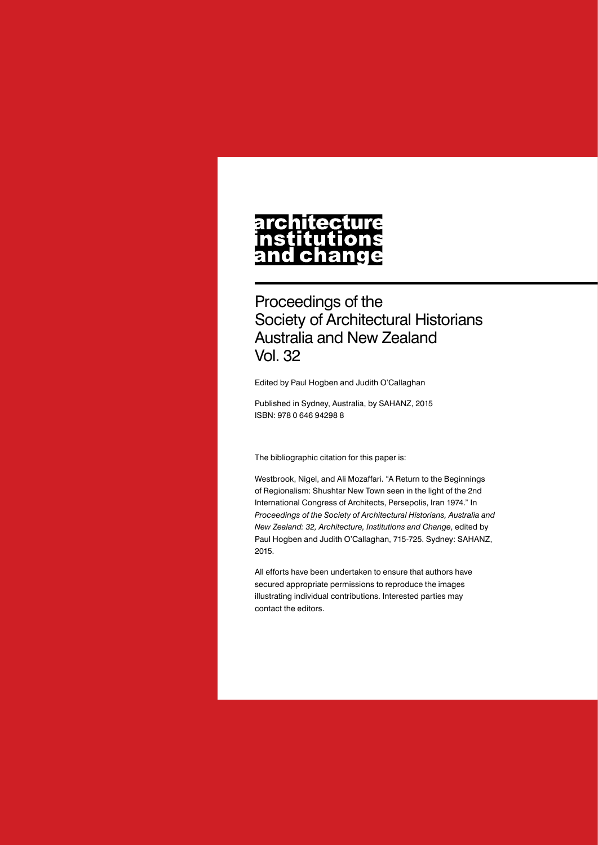## architecture nstitutions<br>and change

Proceedings of the Society of Architectural Historians Australia and New Zealand Vol. 32

Edited by Paul Hogben and Judith O'Callaghan

Published in Sydney, Australia, by SAHANZ, 2015 ISBN: 978 0 646 94298 8

The bibliographic citation for this paper is:

Westbrook, Nigel, and Ali Mozaffari. "A Return to the Beginnings of Regionalism: Shushtar New Town seen in the light of the 2nd International Congress of Architects, Persepolis, Iran 1974." In *Proceedings of the Society of Architectural Historians, Australia and New Zealand: 32, Architecture, Institutions and Change*, edited by Paul Hogben and Judith O'Callaghan, 715-725. Sydney: SAHANZ, 2015.

All efforts have been undertaken to ensure that authors have secured appropriate permissions to reproduce the images illustrating individual contributions. Interested parties may contact the editors.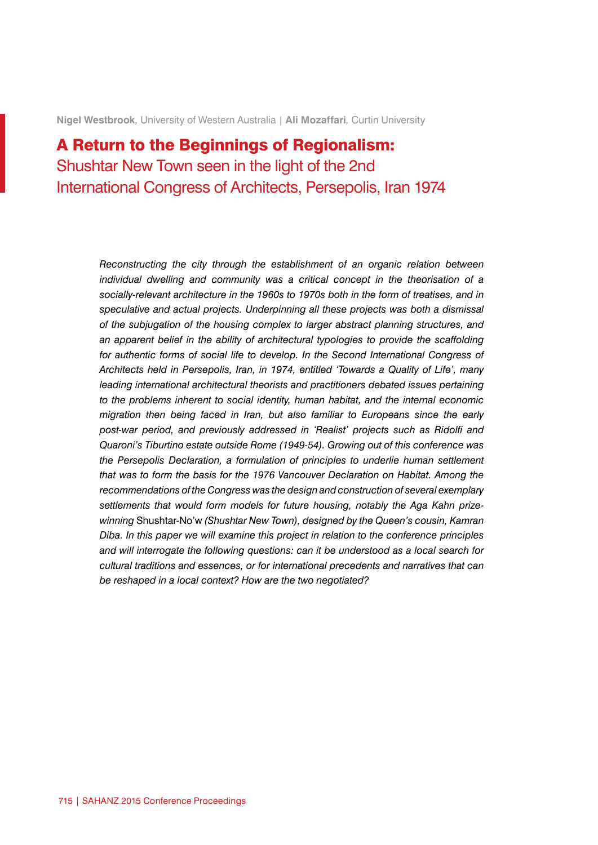**Nigel Westbrook***,* University of Western Australia | **Ali Mozaffari***,* Curtin University

## A Return to the Beginnings of Regionalism: Shushtar New Town seen in the light of the 2nd International Congress of Architects, Persepolis, Iran 1974

*Reconstructing the city through the establishment of an organic relation between individual dwelling and community was a critical concept in the theorisation of a socially-relevant architecture in the 1960s to 1970s both in the form of treatises, and in speculative and actual projects. Underpinning all these projects was both a dismissal of the subjugation of the housing complex to larger abstract planning structures, and an apparent belief in the ability of architectural typologies to provide the scaffolding for authentic forms of social life to develop. In the Second International Congress of Architects held in Persepolis, Iran, in 1974, entitled 'Towards a Quality of Life', many*  leading international architectural theorists and practitioners debated issues pertaining *to the problems inherent to social identity, human habitat, and the internal economic migration then being faced in Iran, but also familiar to Europeans since the early post-war period, and previously addressed in 'Realist' projects such as Ridolfi and Quaroni's Tiburtino estate outside Rome (1949-54). Growing out of this conference was the Persepolis Declaration, a formulation of principles to underlie human settlement that was to form the basis for the 1976 Vancouver Declaration on Habitat. Among the recommendations of the Congress was the design and construction of several exemplary settlements that would form models for future housing, notably the Aga Kahn prizewinning* Shushtar-No'w *(Shushtar New Town), designed by the Queen's cousin, Kamran Diba. In this paper we will examine this project in relation to the conference principles and will interrogate the following questions: can it be understood as a local search for cultural traditions and essences, or for international precedents and narratives that can be reshaped in a local context? How are the two negotiated?*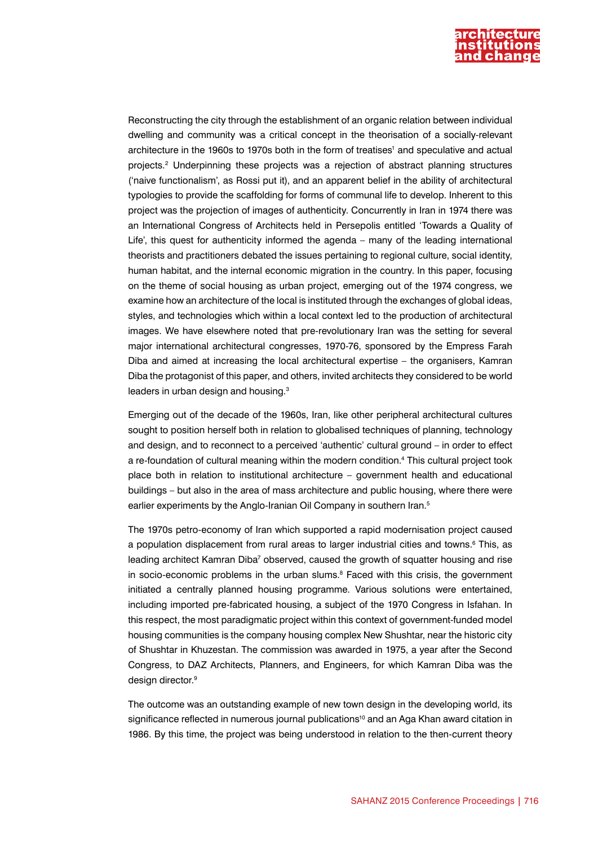

Reconstructing the city through the establishment of an organic relation between individual dwelling and community was a critical concept in the theorisation of a socially-relevant architecture in the 1960s to 1970s both in the form of treatises<sup>1</sup> and speculative and actual projects.2 Underpinning these projects was a rejection of abstract planning structures ('naive functionalism', as Rossi put it), and an apparent belief in the ability of architectural typologies to provide the scaffolding for forms of communal life to develop. Inherent to this project was the projection of images of authenticity. Concurrently in Iran in 1974 there was an International Congress of Architects held in Persepolis entitled 'Towards a Quality of Life', this quest for authenticity informed the agenda – many of the leading international theorists and practitioners debated the issues pertaining to regional culture, social identity, human habitat, and the internal economic migration in the country. In this paper, focusing on the theme of social housing as urban project, emerging out of the 1974 congress, we examine how an architecture of the local is instituted through the exchanges of global ideas, styles, and technologies which within a local context led to the production of architectural images. We have elsewhere noted that pre-revolutionary Iran was the setting for several major international architectural congresses, 1970-76, sponsored by the Empress Farah Diba and aimed at increasing the local architectural expertise – the organisers, Kamran Diba the protagonist of this paper, and others, invited architects they considered to be world leaders in urban design and housing.<sup>3</sup>

Emerging out of the decade of the 1960s, Iran, like other peripheral architectural cultures sought to position herself both in relation to globalised techniques of planning, technology and design, and to reconnect to a perceived 'authentic' cultural ground – in order to effect a re-foundation of cultural meaning within the modern condition.<sup>4</sup> This cultural project took place both in relation to institutional architecture – government health and educational buildings – but also in the area of mass architecture and public housing, where there were earlier experiments by the Anglo-Iranian Oil Company in southern Iran.<sup>5</sup>

The 1970s petro-economy of Iran which supported a rapid modernisation project caused a population displacement from rural areas to larger industrial cities and towns.<sup>6</sup> This, as leading architect Kamran Diba<sup>7</sup> observed, caused the growth of squatter housing and rise in socio-economic problems in the urban slums.<sup>8</sup> Faced with this crisis, the government initiated a centrally planned housing programme. Various solutions were entertained, including imported pre-fabricated housing, a subject of the 1970 Congress in Isfahan. In this respect, the most paradigmatic project within this context of government-funded model housing communities is the company housing complex New Shushtar, near the historic city of Shushtar in Khuzestan. The commission was awarded in 1975, a year after the Second Congress, to DAZ Architects, Planners, and Engineers, for which Kamran Diba was the design director.<sup>9</sup>

The outcome was an outstanding example of new town design in the developing world, its significance reflected in numerous journal publications<sup>10</sup> and an Aga Khan award citation in 1986. By this time, the project was being understood in relation to the then-current theory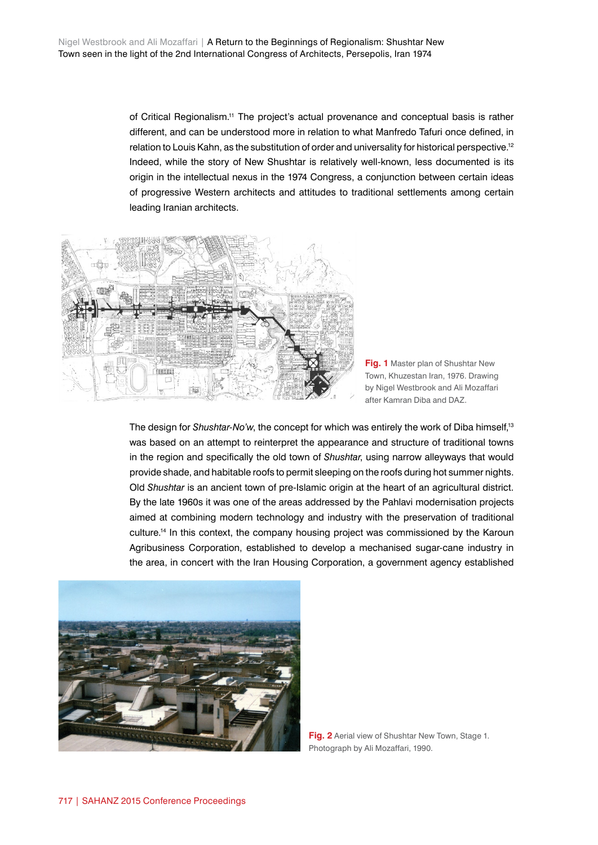of Critical Regionalism.11 The project's actual provenance and conceptual basis is rather different, and can be understood more in relation to what Manfredo Tafuri once defined, in relation to Louis Kahn, as the substitution of order and universality for historical perspective.12 Indeed, while the story of New Shushtar is relatively well-known, less documented is its origin in the intellectual nexus in the 1974 Congress, a conjunction between certain ideas of progressive Western architects and attitudes to traditional settlements among certain leading Iranian architects.





The design for *Shushtar-No'w*, the concept for which was entirely the work of Diba himself,<sup>13</sup> was based on an attempt to reinterpret the appearance and structure of traditional towns in the region and specifically the old town of *Shushtar*, using narrow alleyways that would provide shade, and habitable roofs to permit sleeping on the roofs during hot summer nights. Old *Shushtar* is an ancient town of pre-Islamic origin at the heart of an agricultural district. By the late 1960s it was one of the areas addressed by the Pahlavi modernisation projects aimed at combining modern technology and industry with the preservation of traditional culture.14 In this context, the company housing project was commissioned by the Karoun Agribusiness Corporation, established to develop a mechanised sugar-cane industry in the area, in concert with the Iran Housing Corporation, a government agency established



**Fig. 2** Aerial view of Shushtar New Town, Stage 1. Photograph by Ali Mozaffari, 1990.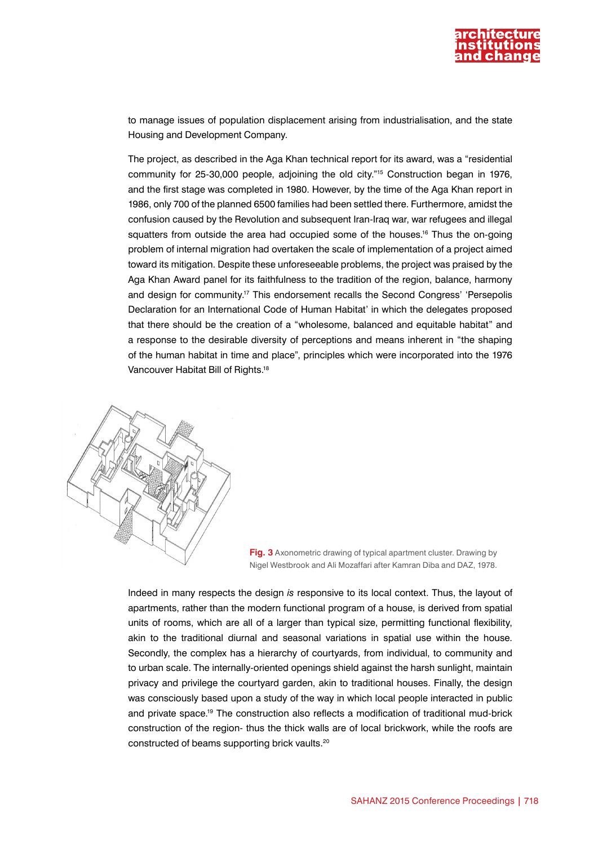

to manage issues of population displacement arising from industrialisation, and the state Housing and Development Company.

The project, as described in the Aga Khan technical report for its award, was a "residential community for 25-30,000 people, adjoining the old city."15 Construction began in 1976, and the first stage was completed in 1980. However, by the time of the Aga Khan report in 1986, only 700 of the planned 6500 families had been settled there. Furthermore, amidst the confusion caused by the Revolution and subsequent Iran-Iraq war, war refugees and illegal squatters from outside the area had occupied some of the houses.<sup>16</sup> Thus the on-going problem of internal migration had overtaken the scale of implementation of a project aimed toward its mitigation. Despite these unforeseeable problems, the project was praised by the Aga Khan Award panel for its faithfulness to the tradition of the region, balance, harmony and design for community.<sup>17</sup> This endorsement recalls the Second Congress' 'Persepolis Declaration for an International Code of Human Habitat' in which the delegates proposed that there should be the creation of a "wholesome, balanced and equitable habitat" and a response to the desirable diversity of perceptions and means inherent in "the shaping of the human habitat in time and place", principles which were incorporated into the 1976 Vancouver Habitat Bill of Rights.18





Indeed in many respects the design *is* responsive to its local context. Thus, the layout of apartments, rather than the modern functional program of a house, is derived from spatial units of rooms, which are all of a larger than typical size, permitting functional flexibility, akin to the traditional diurnal and seasonal variations in spatial use within the house. Secondly, the complex has a hierarchy of courtyards, from individual, to community and to urban scale. The internally-oriented openings shield against the harsh sunlight, maintain privacy and privilege the courtyard garden, akin to traditional houses. Finally, the design was consciously based upon a study of the way in which local people interacted in public and private space.19 The construction also reflects a modification of traditional mud-brick construction of the region- thus the thick walls are of local brickwork, while the roofs are constructed of beams supporting brick vaults.20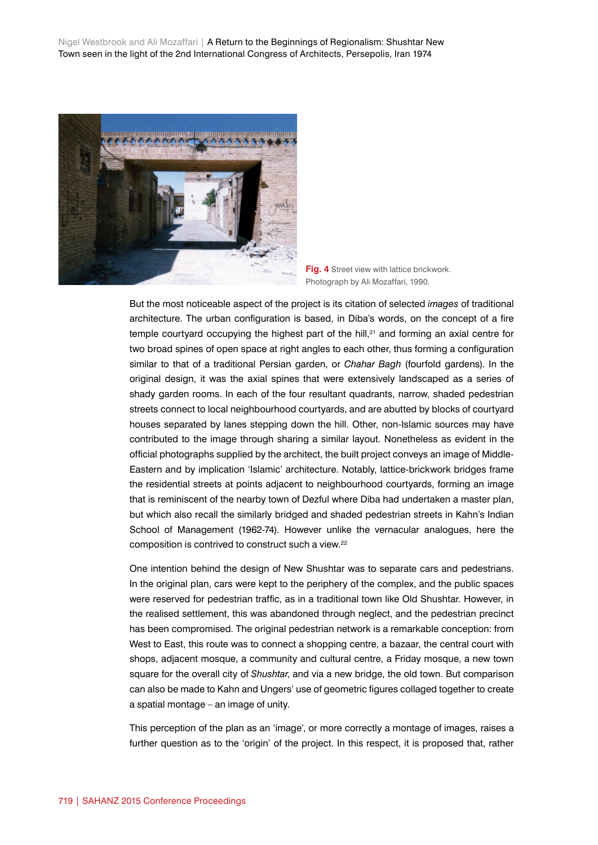Nigel Westbrook and Ali Mozaffari | A Return to the Beginnings of Regionalism: Shushtar New Town seen in the light of the 2nd International Congress of Architects, Persepolis, Iran 1974





But the most noticeable aspect of the project is its citation of selected *images* of traditional architecture. The urban configuration is based, in Diba's words, on the concept of a fire temple courtyard occupying the highest part of the hill, $21$  and forming an axial centre for two broad spines of open space at right angles to each other, thus forming a configuration similar to that of a traditional Persian garden, or *Chahar Bagh* (fourfold gardens). In the original design, it was the axial spines that were extensively landscaped as a series of shady garden rooms. In each of the four resultant quadrants, narrow, shaded pedestrian streets connect to local neighbourhood courtyards, and are abutted by blocks of courtyard houses separated by lanes stepping down the hill. Other, non-Islamic sources may have contributed to the image through sharing a similar layout. Nonetheless as evident in the official photographs supplied by the architect, the built project conveys an image of Middle-Eastern and by implication 'Islamic' architecture. Notably, lattice-brickwork bridges frame the residential streets at points adjacent to neighbourhood courtyards, forming an image that is reminiscent of the nearby town of Dezful where Diba had undertaken a master plan, but which also recall the similarly bridged and shaded pedestrian streets in Kahn's Indian School of Management (1962-74). However unlike the vernacular analogues, here the composition is contrived to construct such a view.22

One intention behind the design of New Shushtar was to separate cars and pedestrians. In the original plan, cars were kept to the periphery of the complex, and the public spaces were reserved for pedestrian traffic, as in a traditional town like Old Shushtar. However, in the realised settlement, this was abandoned through neglect, and the pedestrian precinct has been compromised. The original pedestrian network is a remarkable conception: from West to East, this route was to connect a shopping centre, a bazaar, the central court with shops, adjacent mosque, a community and cultural centre, a Friday mosque, a new town square for the overall city of *Shushtar*, and via a new bridge, the old town. But comparison can also be made to Kahn and Ungers' use of geometric figures collaged together to create a spatial montage – an image of unity.

This perception of the plan as an 'image', or more correctly a montage of images, raises a further question as to the 'origin' of the project. In this respect, it is proposed that, rather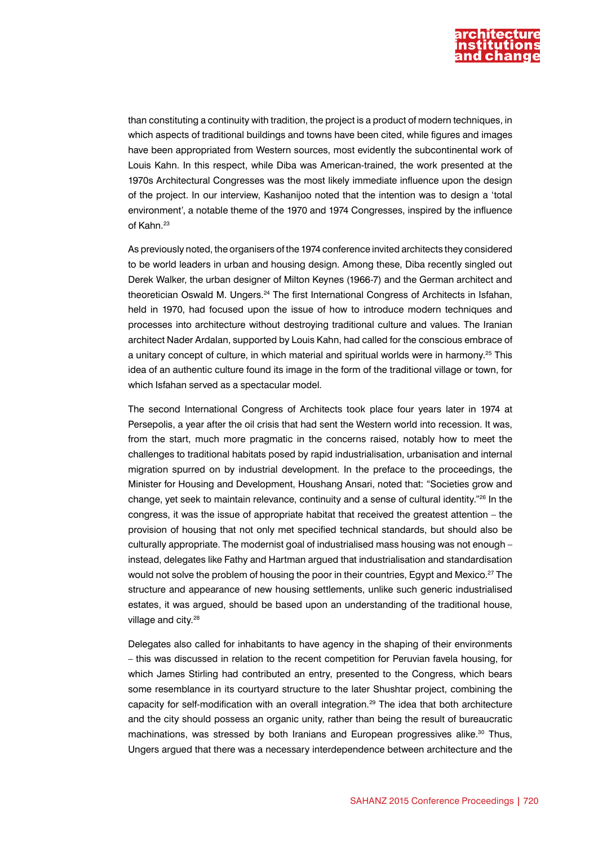

than constituting a continuity with tradition, the project is a product of modern techniques, in which aspects of traditional buildings and towns have been cited, while figures and images have been appropriated from Western sources, most evidently the subcontinental work of Louis Kahn. In this respect, while Diba was American-trained, the work presented at the 1970s Architectural Congresses was the most likely immediate influence upon the design of the project. In our interview, Kashanijoo noted that the intention was to design a 'total environment', a notable theme of the 1970 and 1974 Congresses, inspired by the influence of Kahn.<sup>23</sup>

As previously noted, the organisers of the 1974 conference invited architects they considered to be world leaders in urban and housing design. Among these, Diba recently singled out Derek Walker, the urban designer of Milton Keynes (1966-7) and the German architect and theoretician Oswald M. Ungers.24 The first International Congress of Architects in Isfahan, held in 1970, had focused upon the issue of how to introduce modern techniques and processes into architecture without destroying traditional culture and values. The Iranian architect Nader Ardalan, supported by Louis Kahn, had called for the conscious embrace of a unitary concept of culture, in which material and spiritual worlds were in harmony.<sup>25</sup> This idea of an authentic culture found its image in the form of the traditional village or town, for which Isfahan served as a spectacular model.

The second International Congress of Architects took place four years later in 1974 at Persepolis, a year after the oil crisis that had sent the Western world into recession. It was, from the start, much more pragmatic in the concerns raised, notably how to meet the challenges to traditional habitats posed by rapid industrialisation, urbanisation and internal migration spurred on by industrial development. In the preface to the proceedings, the Minister for Housing and Development, Houshang Ansari, noted that: "Societies grow and change, yet seek to maintain relevance, continuity and a sense of cultural identity."26 In the congress, it was the issue of appropriate habitat that received the greatest attention – the provision of housing that not only met specified technical standards, but should also be culturally appropriate. The modernist goal of industrialised mass housing was not enough – instead, delegates like Fathy and Hartman argued that industrialisation and standardisation would not solve the problem of housing the poor in their countries, Egypt and Mexico.<sup>27</sup> The structure and appearance of new housing settlements, unlike such generic industrialised estates, it was argued, should be based upon an understanding of the traditional house, village and city.<sup>28</sup>

Delegates also called for inhabitants to have agency in the shaping of their environments – this was discussed in relation to the recent competition for Peruvian favela housing, for which James Stirling had contributed an entry, presented to the Congress, which bears some resemblance in its courtyard structure to the later Shushtar project, combining the capacity for self-modification with an overall integration.29 The idea that both architecture and the city should possess an organic unity, rather than being the result of bureaucratic machinations, was stressed by both Iranians and European progressives alike.<sup>30</sup> Thus, Ungers argued that there was a necessary interdependence between architecture and the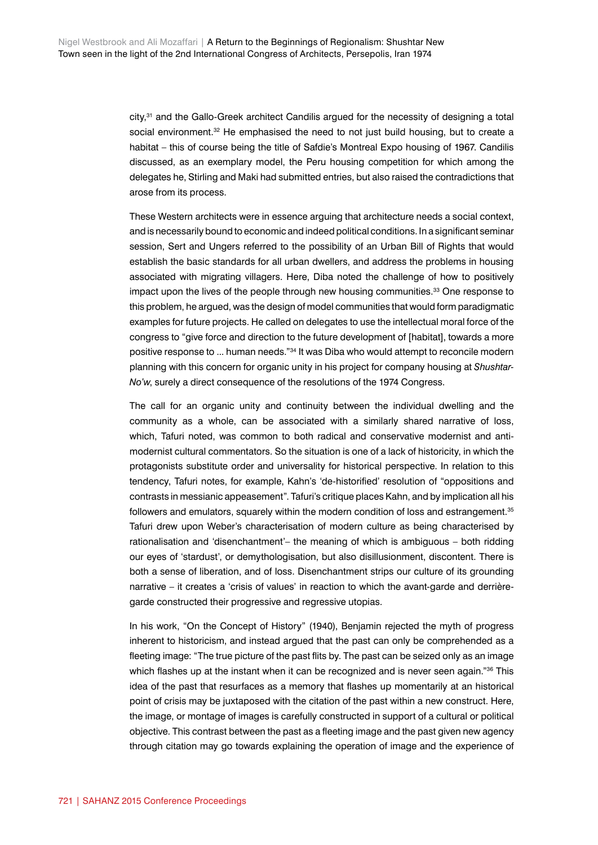city,31 and the Gallo-Greek architect Candilis argued for the necessity of designing a total social environment.<sup>32</sup> He emphasised the need to not just build housing, but to create a habitat – this of course being the title of Safdie's Montreal Expo housing of 1967. Candilis discussed, as an exemplary model, the Peru housing competition for which among the delegates he, Stirling and Maki had submitted entries, but also raised the contradictions that arose from its process.

These Western architects were in essence arguing that architecture needs a social context, and is necessarily bound to economic and indeed political conditions. In a significant seminar session, Sert and Ungers referred to the possibility of an Urban Bill of Rights that would establish the basic standards for all urban dwellers, and address the problems in housing associated with migrating villagers. Here, Diba noted the challenge of how to positively impact upon the lives of the people through new housing communities.<sup>33</sup> One response to this problem, he argued, was the design of model communities that would form paradigmatic examples for future projects. He called on delegates to use the intellectual moral force of the congress to "give force and direction to the future development of [habitat], towards a more positive response to ... human needs."34 It was Diba who would attempt to reconcile modern planning with this concern for organic unity in his project for company housing at *Shushtar-No'w*, surely a direct consequence of the resolutions of the 1974 Congress.

The call for an organic unity and continuity between the individual dwelling and the community as a whole, can be associated with a similarly shared narrative of loss, which, Tafuri noted, was common to both radical and conservative modernist and antimodernist cultural commentators. So the situation is one of a lack of historicity, in which the protagonists substitute order and universality for historical perspective. In relation to this tendency, Tafuri notes, for example, Kahn's 'de-historified' resolution of "oppositions and contrasts in messianic appeasement". Tafuri's critique places Kahn, and by implication all his followers and emulators, squarely within the modern condition of loss and estrangement.<sup>35</sup> Tafuri drew upon Weber's characterisation of modern culture as being characterised by rationalisation and 'disenchantment'– the meaning of which is ambiguous – both ridding our eyes of 'stardust', or demythologisation, but also disillusionment, discontent. There is both a sense of liberation, and of loss. Disenchantment strips our culture of its grounding narrative – it creates a 'crisis of values' in reaction to which the avant-garde and derrièregarde constructed their progressive and regressive utopias.

In his work, "On the Concept of History" (1940), Benjamin rejected the myth of progress inherent to historicism, and instead argued that the past can only be comprehended as a fleeting image: "The true picture of the past flits by. The past can be seized only as an image which flashes up at the instant when it can be recognized and is never seen again."<sup>36</sup> This idea of the past that resurfaces as a memory that flashes up momentarily at an historical point of crisis may be juxtaposed with the citation of the past within a new construct. Here, the image, or montage of images is carefully constructed in support of a cultural or political objective. This contrast between the past as a fleeting image and the past given new agency through citation may go towards explaining the operation of image and the experience of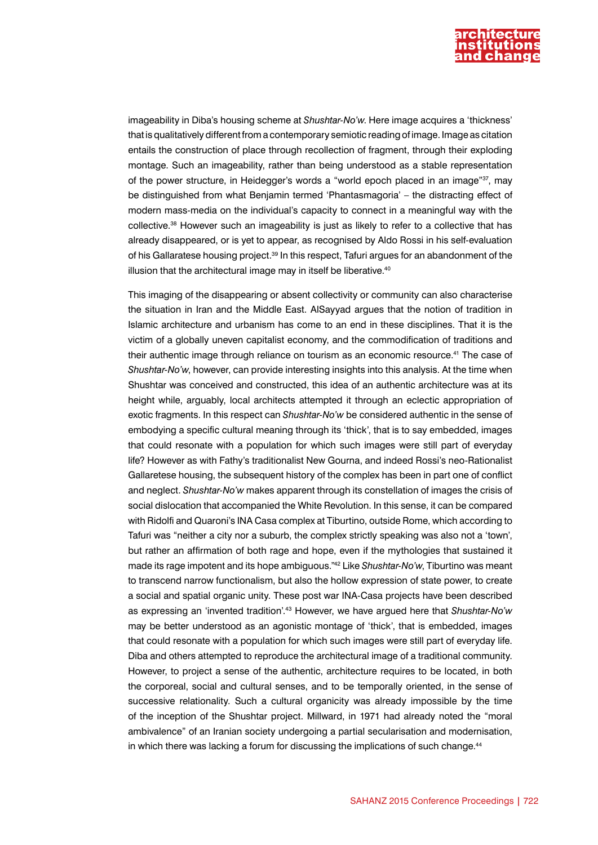

imageability in Diba's housing scheme at *Shushtar-No'w*. Here image acquires a 'thickness' that is qualitatively different from a contemporary semiotic reading of image. Image as citation entails the construction of place through recollection of fragment, through their exploding montage. Such an imageability, rather than being understood as a stable representation of the power structure, in Heidegger's words a "world epoch placed in an image"<sup>37</sup>, may be distinguished from what Benjamin termed 'Phantasmagoria' – the distracting effect of modern mass-media on the individual's capacity to connect in a meaningful way with the collective.38 However such an imageability is just as likely to refer to a collective that has already disappeared, or is yet to appear, as recognised by Aldo Rossi in his self-evaluation of his Gallaratese housing project.<sup>39</sup> In this respect, Tafuri argues for an abandonment of the illusion that the architectural image may in itself be liberative. $40$ 

This imaging of the disappearing or absent collectivity or community can also characterise the situation in Iran and the Middle East. AlSayyad argues that the notion of tradition in Islamic architecture and urbanism has come to an end in these disciplines. That it is the victim of a globally uneven capitalist economy, and the commodification of traditions and their authentic image through reliance on tourism as an economic resource.41 The case of *Shushtar-No'w*, however, can provide interesting insights into this analysis. At the time when Shushtar was conceived and constructed, this idea of an authentic architecture was at its height while, arguably, local architects attempted it through an eclectic appropriation of exotic fragments. In this respect can *Shushtar-No'w* be considered authentic in the sense of embodying a specific cultural meaning through its 'thick', that is to say embedded, images that could resonate with a population for which such images were still part of everyday life? However as with Fathy's traditionalist New Gourna, and indeed Rossi's neo-Rationalist Gallaretese housing, the subsequent history of the complex has been in part one of conflict and neglect. *Shushtar-No'w* makes apparent through its constellation of images the crisis of social dislocation that accompanied the White Revolution. In this sense, it can be compared with Ridolfi and Quaroni's INA Casa complex at Tiburtino, outside Rome, which according to Tafuri was "neither a city nor a suburb, the complex strictly speaking was also not a 'town', but rather an affirmation of both rage and hope, even if the mythologies that sustained it made its rage impotent and its hope ambiguous."42 Like *Shushtar-No'w*, Tiburtino was meant to transcend narrow functionalism, but also the hollow expression of state power, to create a social and spatial organic unity. These post war INA-Casa projects have been described as expressing an 'invented tradition'.43 However, we have argued here that *Shushtar-No'w* may be better understood as an agonistic montage of 'thick', that is embedded, images that could resonate with a population for which such images were still part of everyday life. Diba and others attempted to reproduce the architectural image of a traditional community. However, to project a sense of the authentic, architecture requires to be located, in both the corporeal, social and cultural senses, and to be temporally oriented, in the sense of successive relationality. Such a cultural organicity was already impossible by the time of the inception of the Shushtar project. Millward, in 1971 had already noted the "moral ambivalence" of an Iranian society undergoing a partial secularisation and modernisation, in which there was lacking a forum for discussing the implications of such change.<sup>44</sup>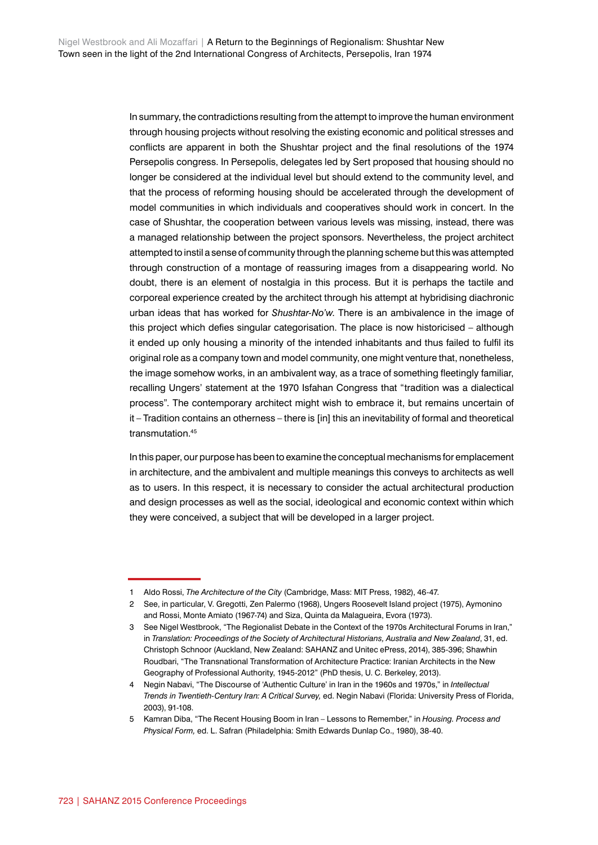In summary, the contradictions resulting from the attempt to improve the human environment through housing projects without resolving the existing economic and political stresses and conflicts are apparent in both the Shushtar project and the final resolutions of the 1974 Persepolis congress. In Persepolis, delegates led by Sert proposed that housing should no longer be considered at the individual level but should extend to the community level, and that the process of reforming housing should be accelerated through the development of model communities in which individuals and cooperatives should work in concert. In the case of Shushtar, the cooperation between various levels was missing, instead, there was a managed relationship between the project sponsors. Nevertheless, the project architect attempted to instil a sense of community through the planning scheme but this was attempted through construction of a montage of reassuring images from a disappearing world. No doubt, there is an element of nostalgia in this process. But it is perhaps the tactile and corporeal experience created by the architect through his attempt at hybridising diachronic urban ideas that has worked for *Shushtar-No'w*. There is an ambivalence in the image of this project which defies singular categorisation. The place is now historicised – although it ended up only housing a minority of the intended inhabitants and thus failed to fulfil its original role as a company town and model community, one might venture that, nonetheless, the image somehow works, in an ambivalent way, as a trace of something fleetingly familiar, recalling Ungers' statement at the 1970 Isfahan Congress that "tradition was a dialectical process". The contemporary architect might wish to embrace it, but remains uncertain of it – Tradition contains an otherness – there is [in] this an inevitability of formal and theoretical transmutation.<sup>45</sup>

In this paper, our purpose has been to examine the conceptual mechanisms for emplacement in architecture, and the ambivalent and multiple meanings this conveys to architects as well as to users. In this respect, it is necessary to consider the actual architectural production and design processes as well as the social, ideological and economic context within which they were conceived, a subject that will be developed in a larger project.

<sup>1</sup> Aldo Rossi, *The Architecture of the City* (Cambridge, Mass: MIT Press, 1982), 46-47.

<sup>2</sup> See, in particular, V. Gregotti, Zen Palermo (1968), Ungers Roosevelt Island project (1975), Aymonino and Rossi, Monte Amiato (1967-74) and Siza, Quinta da Malagueira, Evora (1973).

<sup>3</sup> See Nigel Westbrook, "The Regionalist Debate in the Context of the 1970s Architectural Forums in Iran," in *Translation: Proceedings of the Society of Architectural Historians, Australia and New Zealand*, 31, ed. Christoph Schnoor (Auckland, New Zealand: SAHANZ and Unitec ePress, 2014), 385-396; Shawhin Roudbari, "The Transnational Transformation of Architecture Practice: Iranian Architects in the New Geography of Professional Authority, 1945-2012" (PhD thesis, U. C. Berkeley, 2013).

<sup>4</sup> Negin Nabavi, "The Discourse of 'Authentic Culture' in Iran in the 1960s and 1970s," in *Intellectual Trends in Twentieth-Century Iran: A Critical Survey,* ed. Negin Nabavi (Florida: University Press of Florida, 2003), 91-108.

<sup>5</sup> Kamran Diba, "The Recent Housing Boom in Iran – Lessons to Remember," in *Housing. Process and Physical Form,* ed. L. Safran (Philadelphia: Smith Edwards Dunlap Co., 1980), 38-40.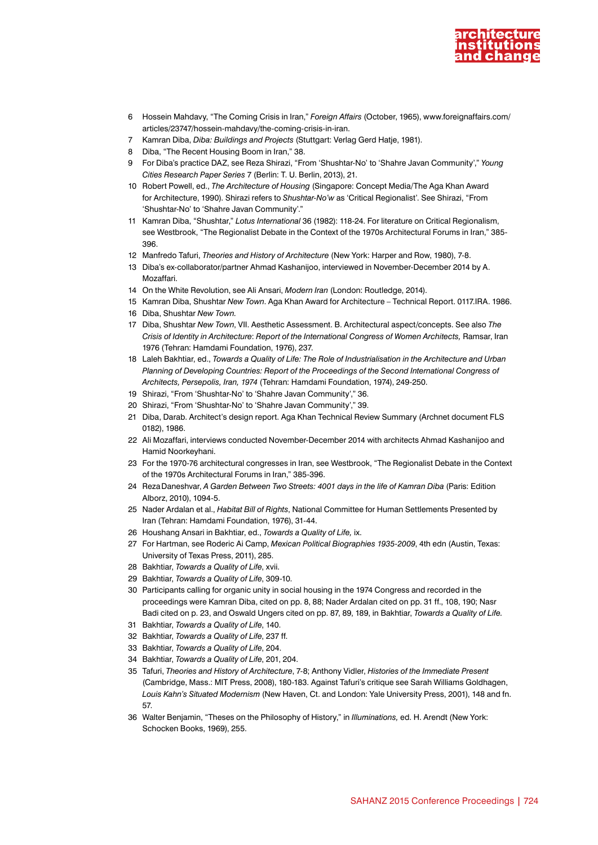

- 6 Hossein Mahdavy, "The Coming Crisis in Iran," *Foreign Affairs* (October, 1965), www.foreignaffairs.com/ articles/23747/hossein-mahdavy/the-coming-crisis-in-iran.
- 7 Kamran Diba, *Diba: Buildings and Projects* (Stuttgart: Verlag Gerd Hatje, 1981).
- 8 Diba, "The Recent Housing Boom in Iran," 38.
- 9 For Diba's practice DAZ, see Reza Shirazi, "From 'Shushtar-No' to 'Shahre Javan Community'," *Young Cities Research Paper Series* 7 (Berlin: T. U. Berlin, 2013), 21.
- 10 Robert Powell, ed., *The Architecture of Housing* (Singapore: Concept Media/The Aga Khan Award for Architecture, 1990). Shirazi refers to *Shushtar-No'w* as 'Critical Regionalist'. See Shirazi, "From 'Shushtar-No' to 'Shahre Javan Community'."
- 11 Kamran Diba, "Shushtar," *Lotus International* 36 (1982): 118-24. For literature on Critical Regionalism, see Westbrook, "The Regionalist Debate in the Context of the 1970s Architectural Forums in Iran," 385- 396.
- 12 Manfredo Tafuri, *Theories and History of Architecture* (New York: Harper and Row, 1980), 7-8.
- 13 Diba's ex-collaborator/partner Ahmad Kashanijoo, interviewed in November-December 2014 by A. Mozaffari.
- 14 On the White Revolution, see Ali Ansari, *Modern Iran* (London: Routledge, 2014).
- 15 Kamran Diba, Shushtar *New Town*. Aga Khan Award for Architecture Technical Report. 0117.IRA. 1986.
- 16 Diba, Shushtar *New Town.*
- 17 Diba, Shushtar *New Town*, VII. Aesthetic Assessment. B. Architectural aspect/concepts. See also *The Crisis of Identity in Architecture*: *Report of the International Congress of Women Architects,* Ramsar, Iran 1976 (Tehran: Hamdami Foundation, 1976), 237.
- 18 Laleh Bakhtiar, ed., *Towards a Quality of Life: The Role of Industrialisation in the Architecture and Urban*  Planning of Developing Countries: Report of the Proceedings of the Second International Congress of *Architects, Persepolis, Iran, 1974* (Tehran: Hamdami Foundation, 1974), 249-250.
- 19 Shirazi, "From 'Shushtar-No' to 'Shahre Javan Community'," 36.
- 20 Shirazi, "From 'Shushtar-No' to 'Shahre Javan Community'," 39.
- 21 Diba, Darab. Architect's design report. Aga Khan Technical Review Summary (Archnet document FLS 0182), 1986.
- 22 Ali Mozaffari, interviews conducted November-December 2014 with architects Ahmad Kashanijoo and Hamid Noorkeyhani.
- 23 For the 1970-76 architectural congresses in Iran, see Westbrook, "The Regionalist Debate in the Context of the 1970s Architectural Forums in Iran," 385-396.
- 24 RezaDaneshvar, *A Garden Between Two Streets: 4001 days in the life of Kamran Diba* (Paris: Edition Alborz, 2010), 1094-5.
- 25 Nader Ardalan et al., *Habitat Bill of Rights*, National Committee for Human Settlements Presented by Iran (Tehran: Hamdami Foundation, 1976), 31-44.
- 26 Houshang Ansari in Bakhtiar, ed., *Towards a Quality of Life,* ix.
- 27 For Hartman, see Roderic Ai Camp, *Mexican Political Biographies 1935-2009*, 4th edn (Austin, Texas: University of Texas Press, 2011), 285.
- 28 Bakhtiar, *Towards a Quality of Life*, xvii.
- 29 Bakhtiar, *Towards a Quality of Life*, 309-10.
- 30 Participants calling for organic unity in social housing in the 1974 Congress and recorded in the proceedings were Kamran Diba, cited on pp. 8, 88; Nader Ardalan cited on pp. 31 ff., 108, 190; Nasr Badi cited on p. 23, and Oswald Ungers cited on pp. 87, 89, 189, in Bakhtiar, *Towards a Quality of Life.*
- 31 Bakhtiar, *Towards a Quality of Life*, 140.
- 32 Bakhtiar, *Towards a Quality of Life*, 237 ff.
- 33 Bakhtiar, *Towards a Quality of Life*, 204.
- 34 Bakhtiar, *Towards a Quality of Life*, 201, 204.
- 35 Tafuri, *Theories and History of Architecture*, 7-8; Anthony Vidler, *Histories of the Immediate Present* (Cambridge, Mass.: MIT Press, 2008), 180-183. Against Tafuri's critique see Sarah Williams Goldhagen, *Louis Kahn's Situated Modernism* (New Haven, Ct. and London: Yale University Press, 2001), 148 and fn. 57.
- 36 Walter Benjamin, "Theses on the Philosophy of History," in *Illuminations,* ed. H. Arendt (New York: Schocken Books, 1969), 255.